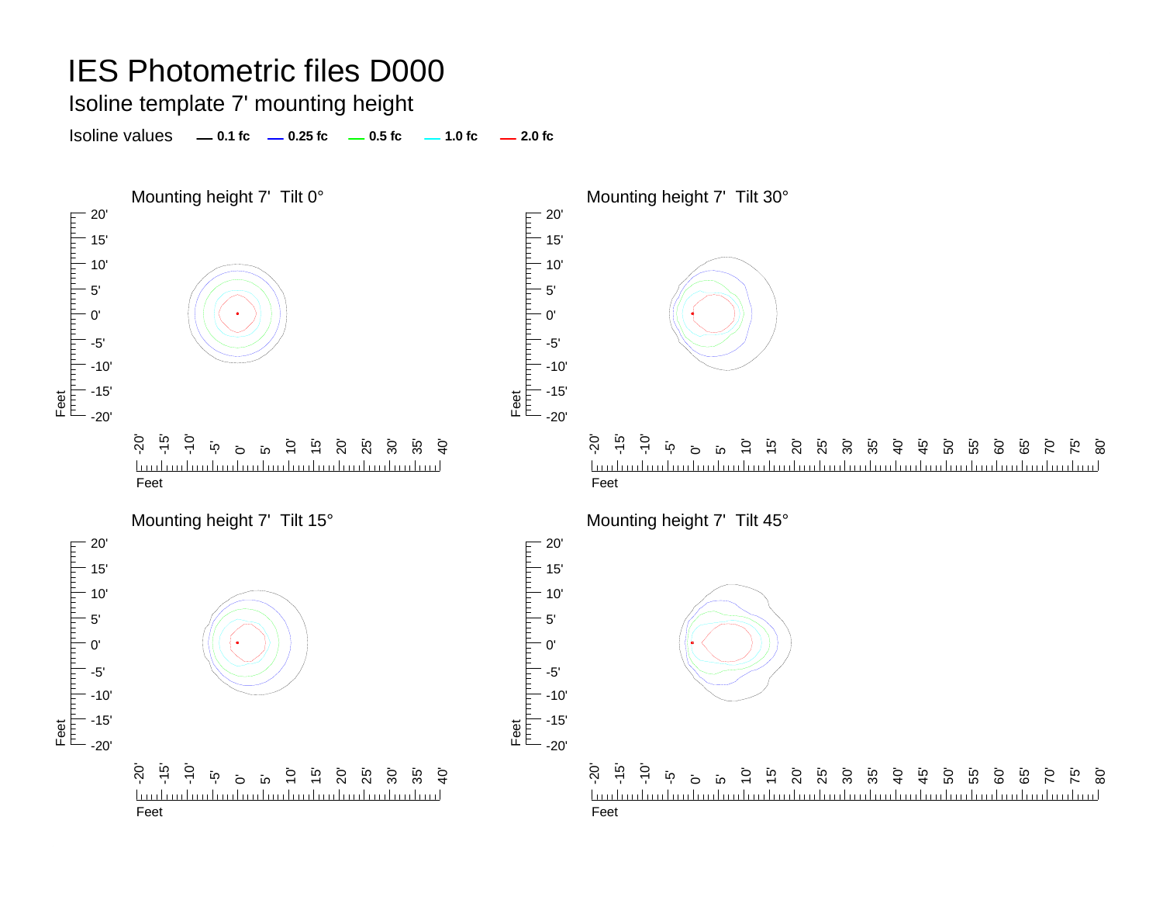Isoline template 7' mounting height

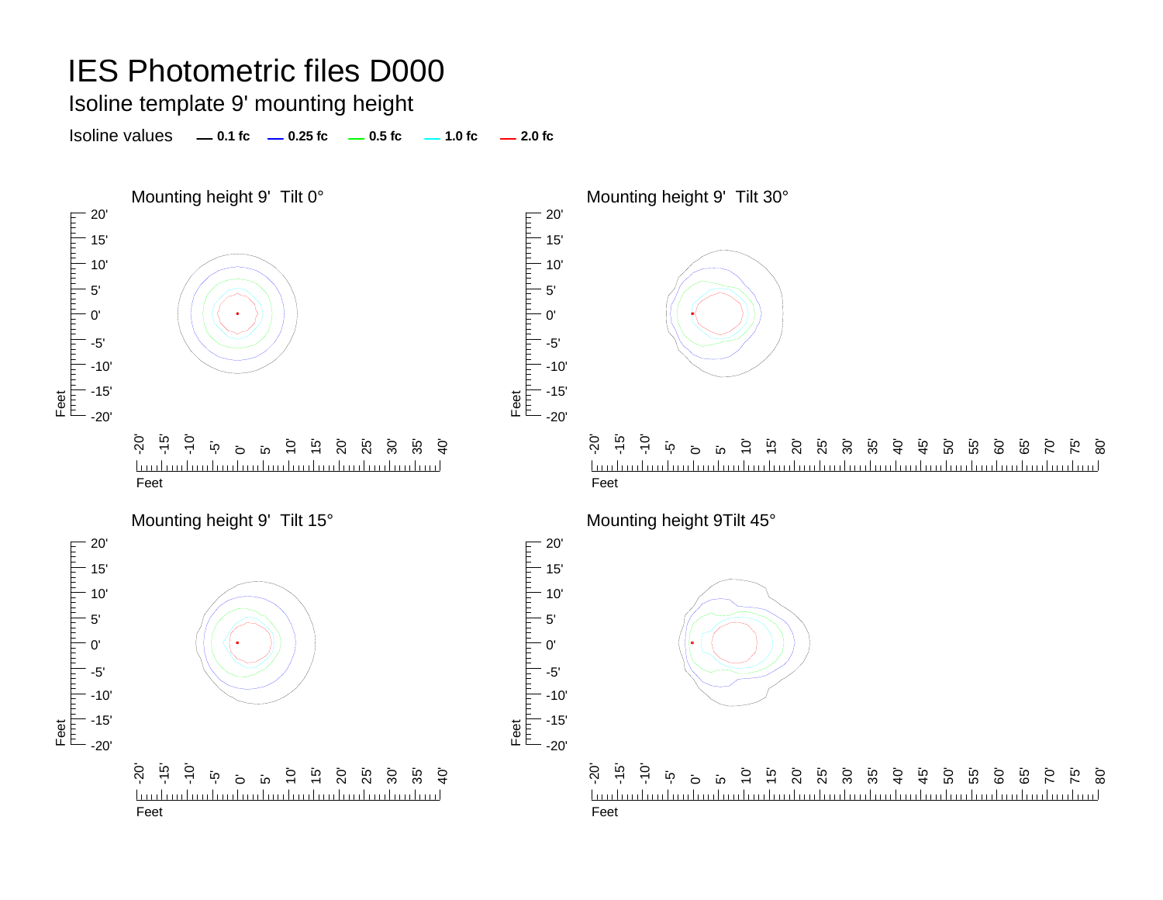Isoline template 9' mounting height

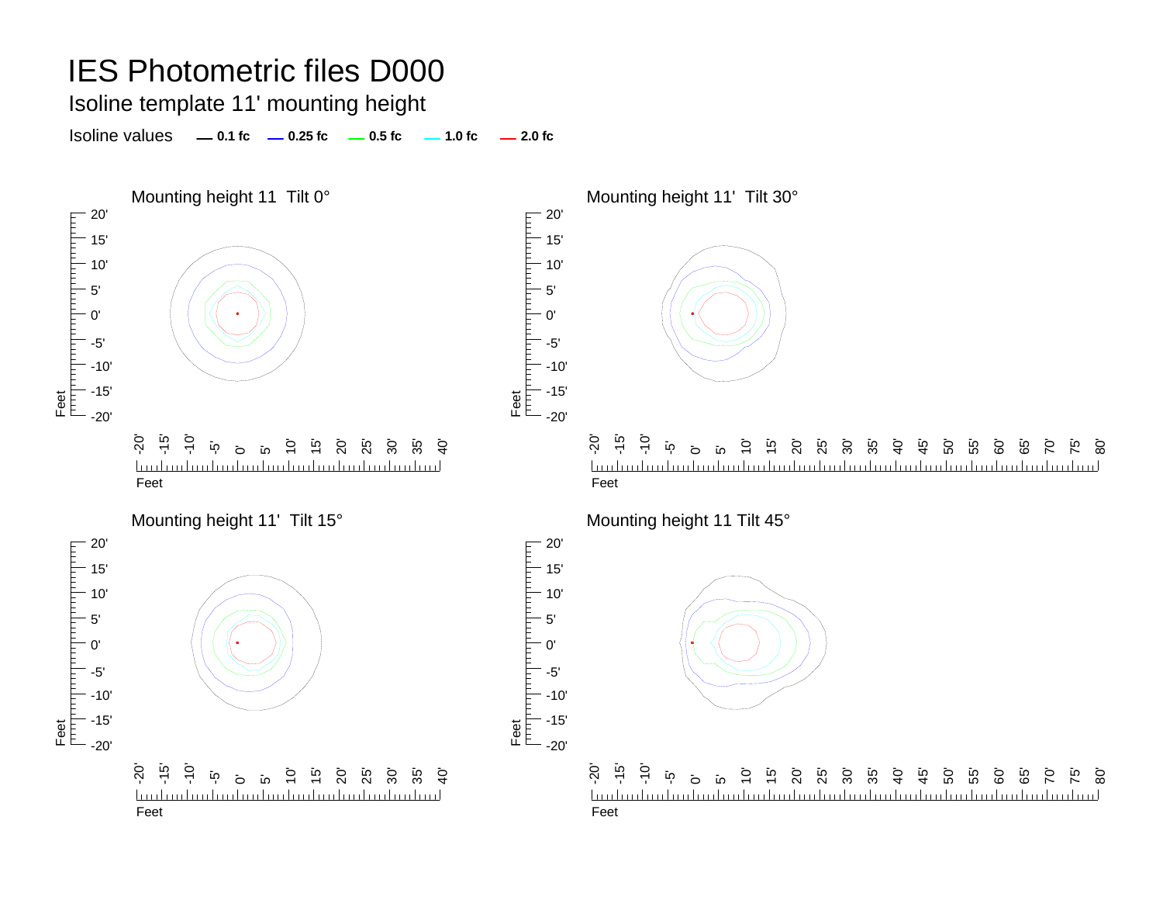Isoline template 11' mounting height

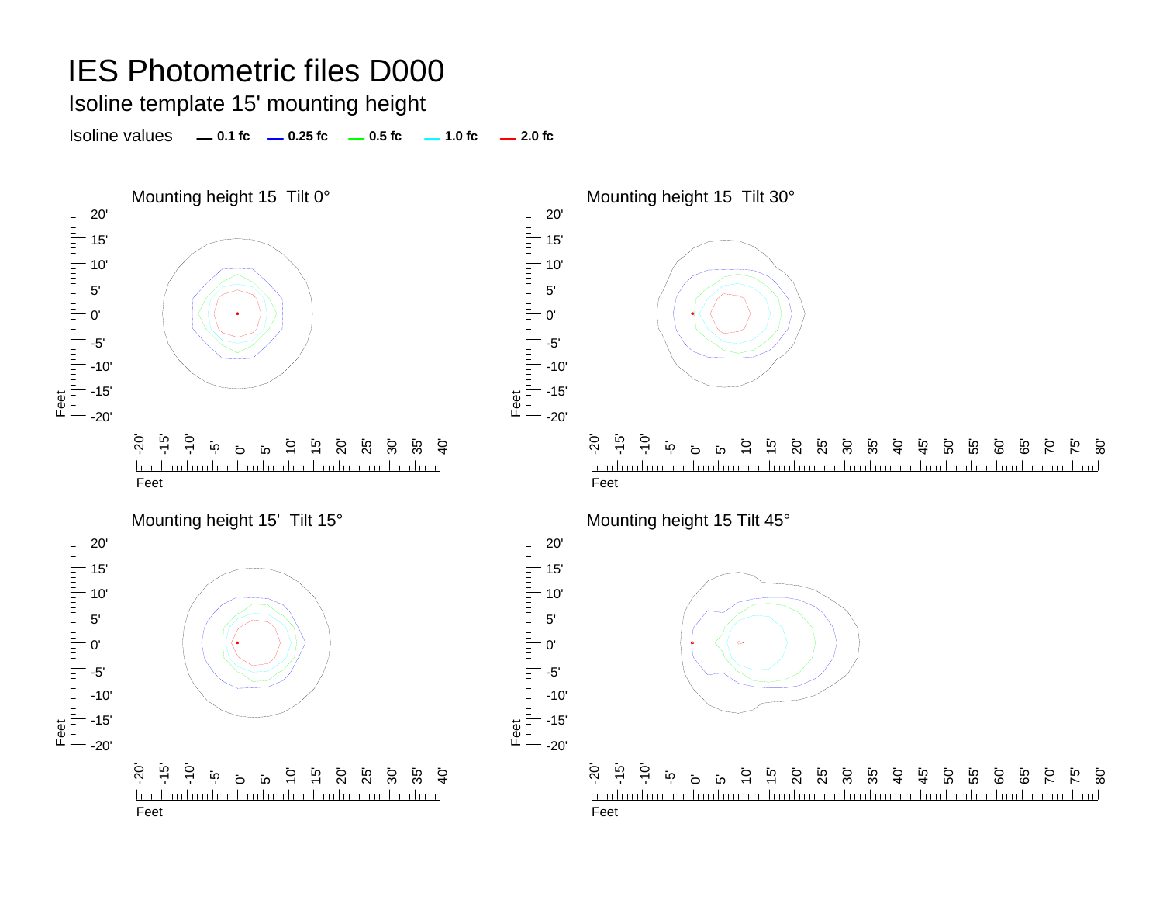Isoline template 15' mounting height

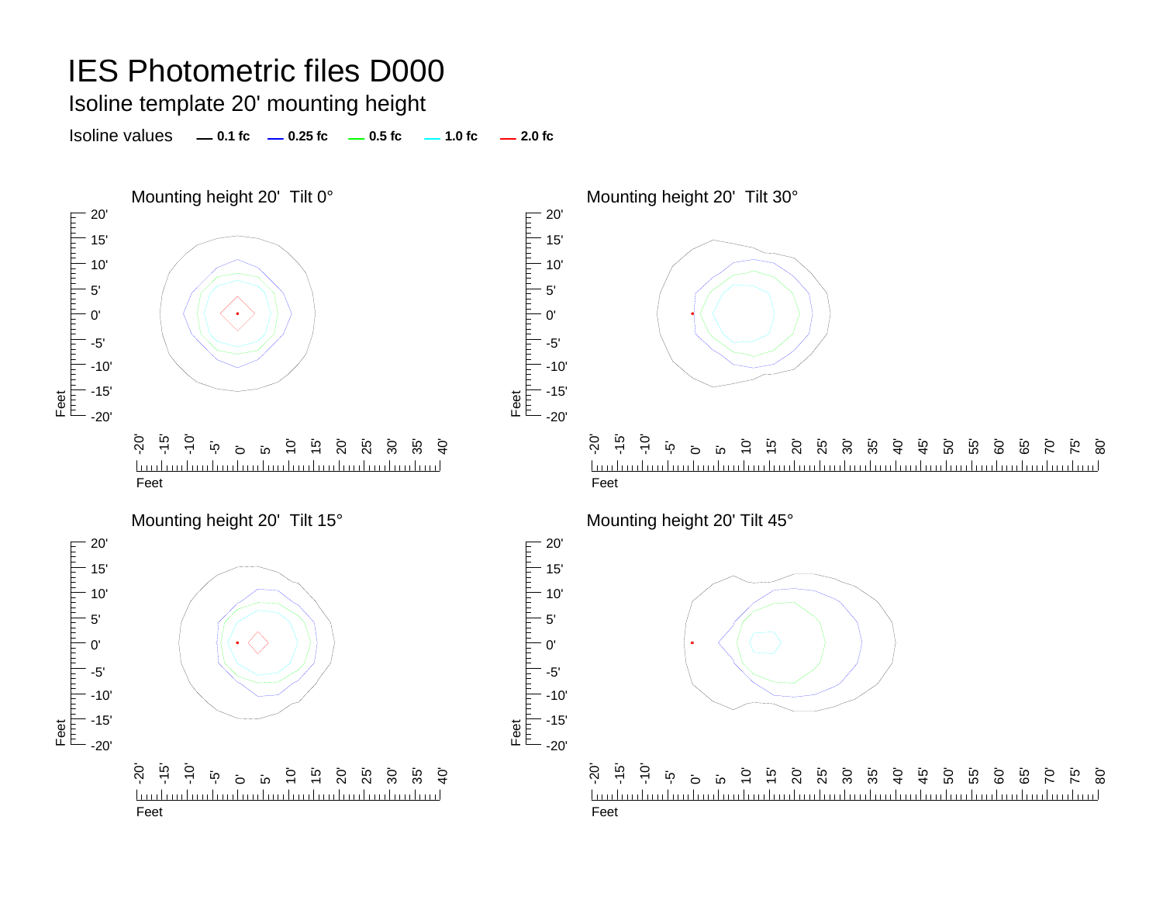Isoline template 20' mounting height

Isoline values **0.1 fc 0.25 fc 0.5 fc 2.0 fc 1.0 fc**







20'

гранита



75' 80'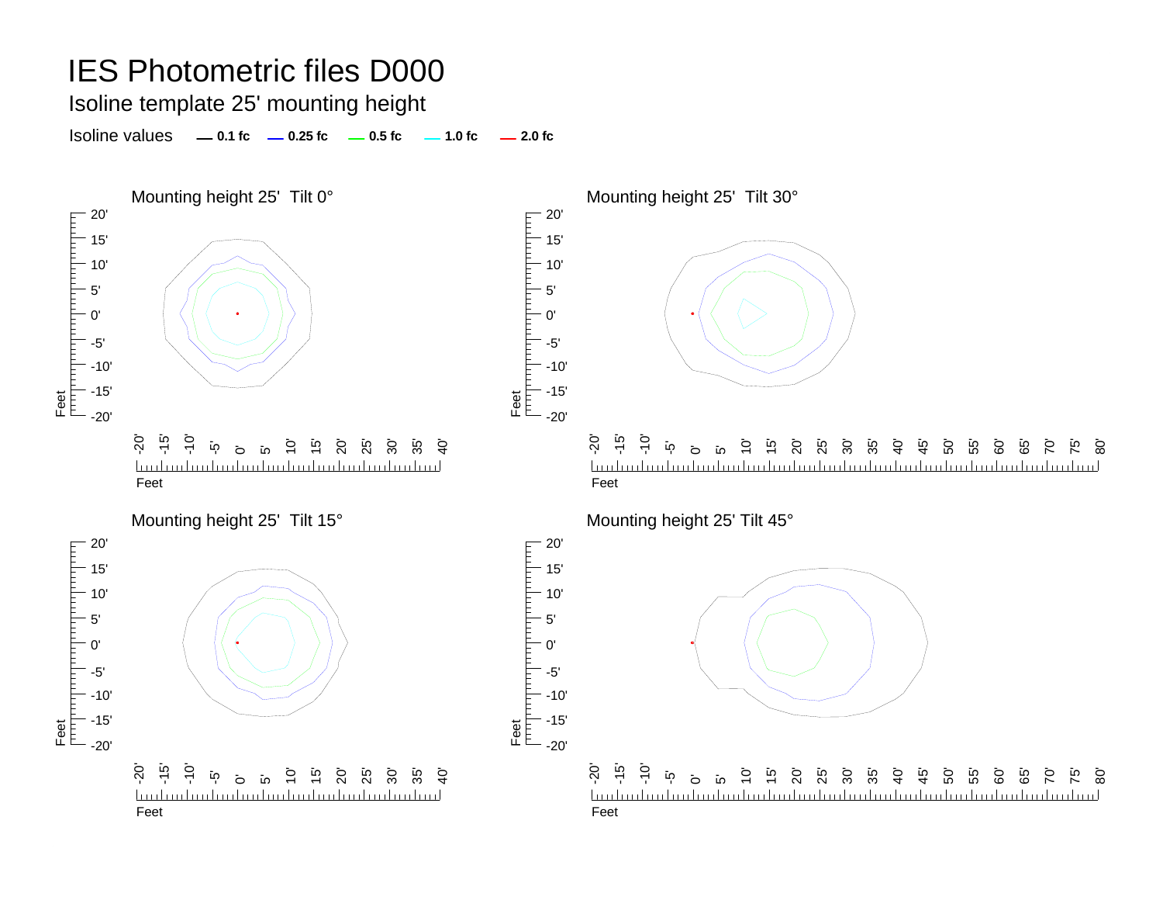Isoline template 25' mounting height

Isoline values **0.1 fc 0.25 fc 0.5 fc 2.0 fc 1.0 fc**





5' 0'